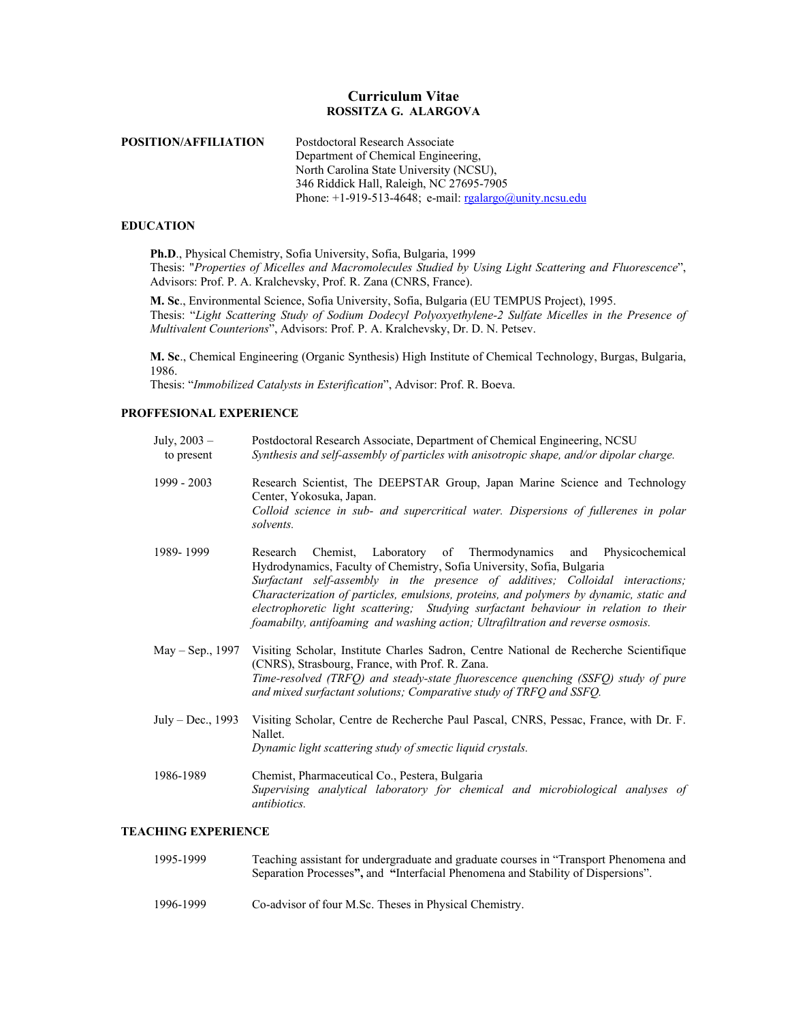## **Curriculum Vitae ROSSITZA G. ALARGOVA**

| POSITION/AFFILIATION | Postdoctoral Research Associate                            |
|----------------------|------------------------------------------------------------|
|                      | Department of Chemical Engineering,                        |
|                      | North Carolina State University (NCSU),                    |
|                      | 346 Riddick Hall, Raleigh, NC 27695-7905                   |
|                      | Phone: $+1-919-513-4648$ ; e-mail: rgalargo@unity.ncsu.edu |

#### **EDUCATION**

**Ph.D**., Physical Chemistry, Sofia University, Sofia, Bulgaria, 1999 Thesis: "*Properties of Micelles and Macromolecules Studied by Using Light Scattering and Fluorescence*", Advisors: Prof. P. A. Kralchevsky, Prof. R. Zana (CNRS, France).

**M. Sc**., Environmental Science, Sofia University, Sofia, Bulgaria (EU TEMPUS Project), 1995. Thesis: "*Light Scattering Study of Sodium Dodecyl Polyoxyethylene-2 Sulfate Micelles in the Presence of Multivalent Counterions*", Advisors: Prof. P. A. Kralchevsky, Dr. D. N. Petsev.

**M. Sc**., Chemical Engineering (Organic Synthesis) High Institute of Chemical Technology, Burgas, Bulgaria, 1986.

Thesis: "*Immobilized Catalysts in Esterification*", Advisor: Prof. R. Boeva.

### **PROFFESIONAL EXPERIENCE**

| July, $2003 -$<br>to present | Postdoctoral Research Associate, Department of Chemical Engineering, NCSU<br>Synthesis and self-assembly of particles with anisotropic shape, and/or dipolar charge.                                                                                                                                                                                                                                                                                                                                  |
|------------------------------|-------------------------------------------------------------------------------------------------------------------------------------------------------------------------------------------------------------------------------------------------------------------------------------------------------------------------------------------------------------------------------------------------------------------------------------------------------------------------------------------------------|
| 1999 - 2003                  | Research Scientist, The DEEPSTAR Group, Japan Marine Science and Technology<br>Center, Yokosuka, Japan.<br>Colloid science in sub- and supercritical water. Dispersions of fullerenes in polar<br>solvents.                                                                                                                                                                                                                                                                                           |
| 1989-1999                    | Research Chemist, Laboratory of Thermodynamics and Physicochemical<br>Hydrodynamics, Faculty of Chemistry, Sofia University, Sofia, Bulgaria<br>Surfactant self-assembly in the presence of additives; Colloidal interactions;<br>Characterization of particles, emulsions, proteins, and polymers by dynamic, static and<br>electrophoretic light scattering; Studying surfactant behaviour in relation to their<br>foamabilty, antifoaming and washing action; Ultrafiltration and reverse osmosis. |
| May – Sep., 1997             | Visiting Scholar, Institute Charles Sadron, Centre National de Recherche Scientifique<br>(CNRS), Strasbourg, France, with Prof. R. Zana.<br>Time-resolved (TRFQ) and steady-state fluorescence quenching (SSFQ) study of pure<br>and mixed surfactant solutions; Comparative study of TRFQ and SSFQ.                                                                                                                                                                                                  |
| July – Dec., 1993            | Visiting Scholar, Centre de Recherche Paul Pascal, CNRS, Pessac, France, with Dr. F.<br>Nallet.<br>Dynamic light scattering study of smectic liquid crystals.                                                                                                                                                                                                                                                                                                                                         |
| 1986-1989                    | Chemist, Pharmaceutical Co., Pestera, Bulgaria<br>Supervising analytical laboratory for chemical and microbiological analyses of<br><i>antibiotics.</i>                                                                                                                                                                                                                                                                                                                                               |
| <b>TEACHING EXPERIENCE</b>   |                                                                                                                                                                                                                                                                                                                                                                                                                                                                                                       |
| 1005, 1000                   | $\mathbf{T}$ . This contribution for the decomposition of the decision of the Compact of $\mathbf{M}$ , and $\mathbf{M}$                                                                                                                                                                                                                                                                                                                                                                              |

### 1995-1999 Teaching assistant for undergraduate and graduate courses in "Transport Phenomena and Separation Processes**",** and **"**Interfacial Phenomena and Stability of Dispersions".

1996-1999 Co-advisor of four M.Sc. Theses in Physical Chemistry.